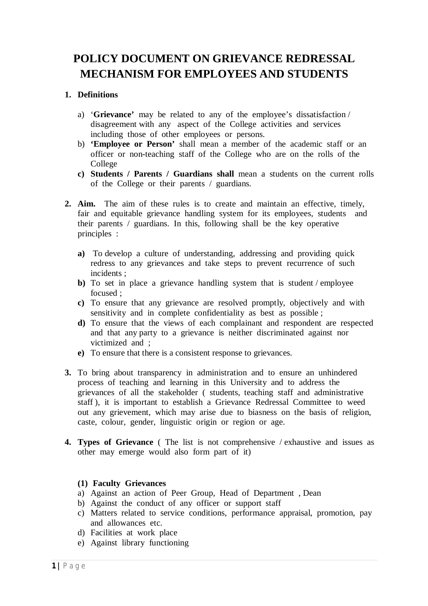# **POLICY DOCUMENT ON GRIEVANCE REDRESSAL MECHANISM FOR EMPLOYEES AND STUDENTS**

# **1. Definitions**

- a) '**Grievance'** may be related to any of the employee's dissatisfaction / disagreement with any aspect of the College activities and services including those of other employees or persons.
- b) **'Employee or Person'** shall mean a member of the academic staff or an officer or non-teaching staff of the College who are on the rolls of the College
- **c) Students / Parents / Guardians shall** mean a students on the current rolls of the College or their parents / guardians.
- **2. Aim.** The aim of these rules is to create and maintain an effective, timely, fair and equitable grievance handling system for its employees, students and their parents / guardians. In this, following shall be the key operative principles :
	- **a)** To develop a culture of understanding, addressing and providing quick redress to any grievances and take steps to prevent recurrence of such incidents ;
	- **b**) To set in place a grievance handling system that is student / employee focused ;
	- **c)** To ensure that any grievance are resolved promptly, objectively and with sensitivity and in complete confidentiality as best as possible ;
	- **d)** To ensure that the views of each complainant and respondent are respected and that any party to a grievance is neither discriminated against nor victimized and ;
	- **e)** To ensure that there is a consistent response to grievances.
- **3.** To bring about transparency in administration and to ensure an unhindered process of teaching and learning in this University and to address the grievances of all the stakeholder ( students, teaching staff and administrative staff ), it is important to establish a Grievance Redressal Committee to weed out any grievement, which may arise due to biasness on the basis of religion, caste, colour, gender, linguistic origin or region or age.
- **4. Types of Grievance** ( The list is not comprehensive / exhaustive and issues as other may emerge would also form part of it)

# **(1) Faculty Grievances**

- a) Against an action of Peer Group, Head of Department , Dean
- b) Against the conduct of any officer or support staff
- c) Matters related to service conditions, performance appraisal, promotion, pay and allowances etc.
- d) Facilities at work place
- e) Against library functioning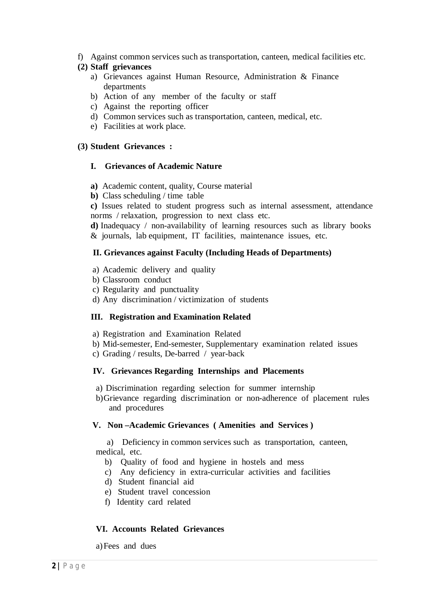f) Against common services such as transportation, canteen, medical facilities etc.

#### **(2) Staff grievances**

- a) Grievances against Human Resource, Administration & Finance departments
- b) Action of any member of the faculty or staff
- c) Against the reporting officer
- d) Common services such as transportation, canteen, medical, etc.
- e) Facilities at work place.

# **(3) Student Grievances :**

#### **I. Grievances of Academic Nature**

- **a)** Academic content, quality, Course material
- **b)** Class scheduling / time table

**c)** Issues related to student progress such as internal assessment, attendance norms / relaxation, progression to next class etc.

**d)** Inadequacy / non-availability of learning resources such as library books & journals, lab equipment, IT facilities, maintenance issues, etc.

#### **II. Grievances against Faculty (Including Heads of Departments)**

- a) Academic delivery and quality
- b) Classroom conduct
- c) Regularity and punctuality
- d) Any discrimination / victimization of students

# **III. Registration and Examination Related**

- a) Registration and Examination Related
- b) Mid-semester, End-semester, Supplementary examination related issues
- c) Grading / results, De-barred / year-back

#### **IV. Grievances Regarding Internships and Placements**

- a) Discrimination regarding selection for summer internship
- b)Grievance regarding discrimination or non-adherence of placement rules and procedures

#### **V. Non –Academic Grievances ( Amenities and Services )**

 a) Deficiency in common services such as transportation, canteen, medical, etc.

- b) Quality of food and hygiene in hostels and mess
- c) Any deficiency in extra-curricular activities and facilities
- d) Student financial aid
- e) Student travel concession
- f) Identity card related

# **VI. Accounts Related Grievances**

a)Fees and dues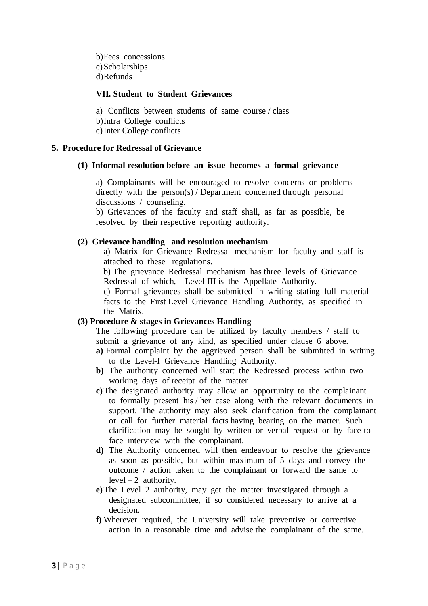b)Fees concessions c) Scholarships d)Refunds

# **VII. Student to Student Grievances**

a) Conflicts between students of same course / class b)Intra College conflicts c)Inter College conflicts

# **5. Procedure for Redressal of Grievance**

#### **(1) Informal resolution before an issue becomes a formal grievance**

a) Complainants will be encouraged to resolve concerns or problems directly with the person(s) / Department concerned through personal discussions / counseling.

b) Grievances of the faculty and staff shall, as far as possible, be resolved by their respective reporting authority.

#### **(2) Grievance handling and resolution mechanism**

a) Matrix for Grievance Redressal mechanism for faculty and staff is attached to these regulations.

b) The grievance Redressal mechanism has three levels of Grievance Redressal of which, Level-III is the Appellate Authority.

c) Formal grievances shall be submitted in writing stating full material facts to the First Level Grievance Handling Authority, as specified in the Matrix.

#### **(3) Procedure & stages in Grievances Handling**

The following procedure can be utilized by faculty members / staff to submit a grievance of any kind, as specified under clause 6 above.

- **a)** Formal complaint by the aggrieved person shall be submitted in writing to the Level-I Grievance Handling Authority.
- **b)** The authority concerned will start the Redressed process within two working days of receipt of the matter
- **c)**The designated authority may allow an opportunity to the complainant to formally present his / her case along with the relevant documents in support. The authority may also seek clarification from the complainant or call for further material facts having bearing on the matter. Such clarification may be sought by written or verbal request or by face-toface interview with the complainant.
- **d)** The Authority concerned will then endeavour to resolve the grievance as soon as possible, but within maximum of 5 days and convey the outcome / action taken to the complainant or forward the same to  $level - 2$  authority.
- **e)**The Level 2 authority, may get the matter investigated through a designated subcommittee, if so considered necessary to arrive at a decision.
- **f)** Wherever required, the University will take preventive or corrective action in a reasonable time and advise the complainant of the same.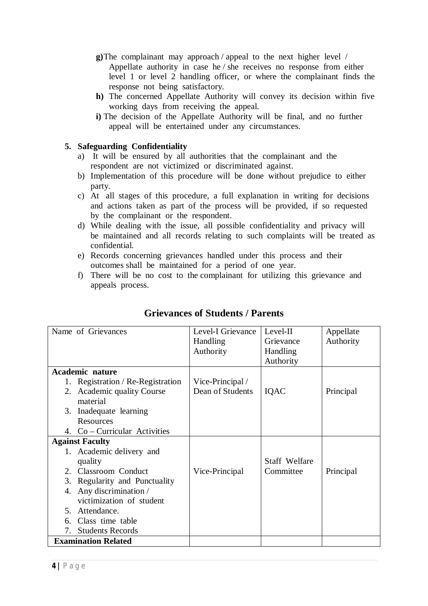- **g)**The complainant may approach / appeal to the next higher level / Appellate authority in case he / she receives no response from either level 1 or level 2 handling officer, or where the complainant finds the response not being satisfactory.
- **h)** The concerned Appellate Authority will convey its decision within five working days from receiving the appeal.
- **i)** The decision of the Appellate Authority will be final, and no further appeal will be entertained under any circumstances.

# **5. Safeguarding Confidentiality**

- a) It will be ensured by all authorities that the complainant and the respondent are not victimized or discriminated against.
- b) Implementation of this procedure will be done without prejudice to either party.
- c) At all stages of this procedure, a full explanation in writing for decisions and actions taken as part of the process will be provided, if so requested by the complainant or the respondent.
- d) While dealing with the issue, all possible confidentiality and privacy will be maintained and all records relating to such complaints will be treated as confidential.
- e) Records concerning grievances handled under this process and their outcomes shall be maintained for a period of one year.
- f) There will be no cost to the complainant for utilizing this grievance and appeals process.

| Name of Grievances                   | Level-I Grievance | Level-II             | Appellate |
|--------------------------------------|-------------------|----------------------|-----------|
|                                      | Handling          | Grievance            | Authority |
|                                      | Authority         | Handling             |           |
|                                      |                   | Authority            |           |
| <b>Academic nature</b>               |                   |                      |           |
| Registration / Re-Registration<br>1. | Vice-Principal /  |                      |           |
| <b>Academic quality Course</b><br>2. | Dean of Students  | IQAC                 | Principal |
| material                             |                   |                      |           |
| Inadequate learning<br>3.            |                   |                      |           |
| Resources                            |                   |                      |           |
| 4. Co – Curricular Activities        |                   |                      |           |
| <b>Against Faculty</b>               |                   |                      |           |
| Academic delivery and<br>1.          |                   |                      |           |
| quality                              |                   | <b>Staff Welfare</b> |           |
| <b>Classroom</b> Conduct<br>2.       | Vice-Principal    | Committee            | Principal |
| 3.<br>Regularity and Punctuality     |                   |                      |           |
| Any discrimination /<br>4.           |                   |                      |           |
| victimization of student             |                   |                      |           |
| Attendance.<br>5.                    |                   |                      |           |
| Class time table<br>6.               |                   |                      |           |
| <b>Students Records</b><br>7.        |                   |                      |           |
| <b>Examination Related</b>           |                   |                      |           |

# **Grievances of Students / Parents**